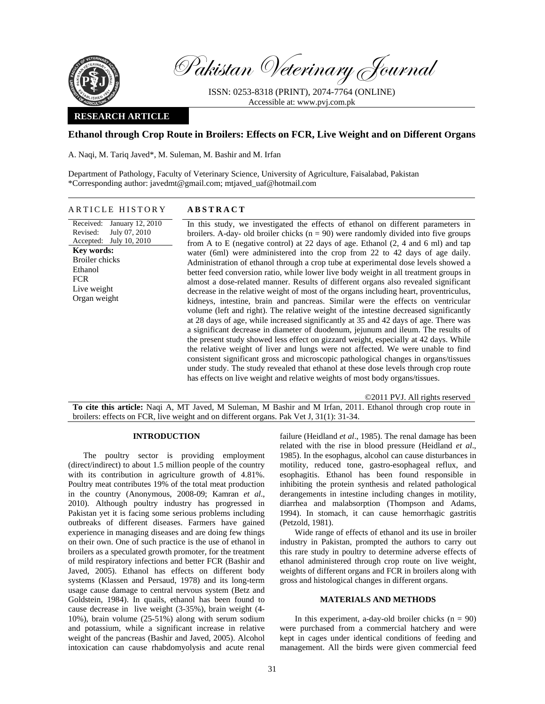

Pakistan Veterinary Journal

ISSN: 0253-8318 (PRINT), 2074-7764 (ONLINE) Accessible at: www.pvj.com.pk

### **RESEARCH ARTICLE**

# **Ethanol through Crop Route in Broilers: Effects on FCR, Live Weight and on Different Organs**

A. Naqi, M. Tariq Javed\*, M. Suleman, M. Bashir and M. Irfan

Department of Pathology, Faculty of Veterinary Science, University of Agriculture, Faisalabad, Pakistan \*Corresponding author: javedmt@gmail.com; mtjaved\_uaf@hotmail.com

### ARTICLE HISTORY **ABSTRACT**

Received: Revised: Accepted: July 10, 2010 January 12, 2010 July 07, 2010 **Key words:**  Broiler chicks Ethanol **FCR** Live weight Organ weight

In this study, we investigated the effects of ethanol on different parameters in broilers. A-day- old broiler chicks  $(n = 90)$  were randomly divided into five groups from A to E (negative control) at 22 days of age. Ethanol (2, 4 and 6 ml) and tap water (6ml) were administered into the crop from 22 to 42 days of age daily. Administration of ethanol through a crop tube at experimental dose levels showed a better feed conversion ratio, while lower live body weight in all treatment groups in almost a dose-related manner. Results of different organs also revealed significant decrease in the relative weight of most of the organs including heart, proventriculus, kidneys, intestine, brain and pancreas. Similar were the effects on ventricular volume (left and right). The relative weight of the intestine decreased significantly at 28 days of age, while increased significantly at 35 and 42 days of age. There was a significant decrease in diameter of duodenum, jejunum and ileum. The results of the present study showed less effect on gizzard weight, especially at 42 days. While the relative weight of liver and lungs were not affected. We were unable to find consistent significant gross and microscopic pathological changes in organs/tissues under study. The study revealed that ethanol at these dose levels through crop route has effects on live weight and relative weights of most body organs/tissues.

©2011 PVJ. All rights reserved

**To cite this article:** Naqi A, MT Javed, M Suleman, M Bashir and M Irfan, 2011. Ethanol through crop route in broilers: effects on FCR, live weight and on different organs. Pak Vet J, 31(1): 31-34.

### **INTRODUCTION**

The poultry sector is providing employment (direct/indirect) to about 1.5 million people of the country with its contribution in agriculture growth of 4.81%. Poultry meat contributes 19% of the total meat production in the country (Anonymous, 2008-09; Kamran *et al*., 2010). Although poultry industry has progressed in Pakistan yet it is facing some serious problems including outbreaks of different diseases. Farmers have gained experience in managing diseases and are doing few things on their own. One of such practice is the use of ethanol in broilers as a speculated growth promoter, for the treatment of mild respiratory infections and better FCR (Bashir and Javed, 2005). Ethanol has effects on different body systems (Klassen and Persaud, 1978) and its long-term usage cause damage to central nervous system (Betz and Goldstein, 1984). In quails, ethanol has been found to cause decrease in live weight (3-35%), brain weight (4- 10%), brain volume (25-51%) along with serum sodium and potassium, while a significant increase in relative weight of the pancreas (Bashir and Javed, 2005). Alcohol intoxication can cause rhabdomyolysis and acute renal

failure (Heidland *et al*., 1985). The renal damage has been related with the rise in blood pressure (Heidland *et al*., 1985). In the esophagus, alcohol can cause disturbances in motility, reduced tone, gastro-esophageal reflux, and esophagitis. Ethanol has been found responsible in inhibiting the protein synthesis and related pathological derangements in intestine including changes in motility, diarrhea and malabsorption (Thompson and Adams, 1994). In stomach, it can cause hemorrhagic gastritis (Petzold, 1981).

Wide range of effects of ethanol and its use in broiler industry in Pakistan, prompted the authors to carry out this rare study in poultry to determine adverse effects of ethanol administered through crop route on live weight, weights of different organs and FCR in broilers along with gross and histological changes in different organs.

### **MATERIALS AND METHODS**

In this experiment, a-day-old broiler chicks  $(n = 90)$ were purchased from a commercial hatchery and were kept in cages under identical conditions of feeding and management. All the birds were given commercial feed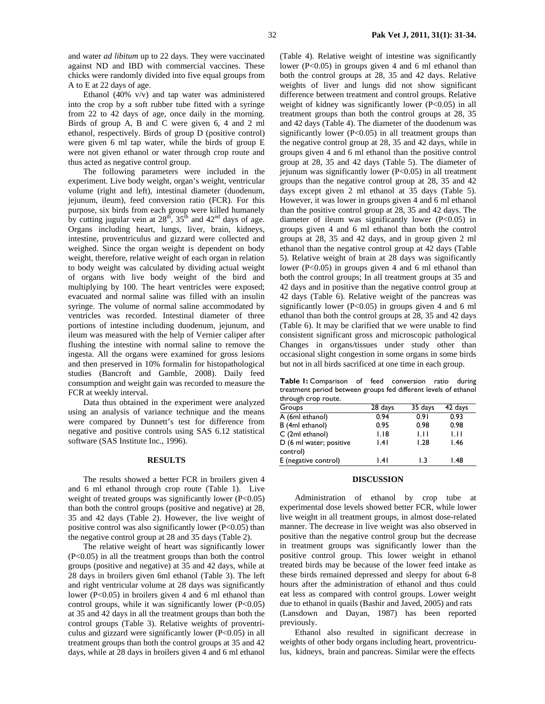and water *ad libitum* up to 22 days*.* They were vaccinated against ND and IBD with commercial vaccines. These chicks were randomly divided into five equal groups from A to E at 22 days of age.

Ethanol (40% v/v) and tap water was administered into the crop by a soft rubber tube fitted with a syringe from 22 to 42 days of age, once daily in the morning. Birds of group A, B and C were given 6, 4 and 2 ml ethanol, respectively. Birds of group D (positive control) were given 6 ml tap water, while the birds of group E were not given ethanol or water through crop route and thus acted as negative control group.

The following parameters were included in the experiment. Live body weight, organ's weight, ventricular volume (right and left), intestinal diameter (duodenum, jejunum, ileum), feed conversion ratio (FCR). For this purpose, six birds from each group were killed humanely by cutting jugular vein at  $28<sup>th</sup>$ ,  $35<sup>th</sup>$  and  $42<sup>nd</sup>$  days of age. Organs including heart, lungs, liver, brain, kidneys, intestine, proventriculus and gizzard were collected and weighed. Since the organ weight is dependent on body weight, therefore, relative weight of each organ in relation to body weight was calculated by dividing actual weight of organs with live body weight of the bird and multiplying by 100. The heart ventricles were exposed; evacuated and normal saline was filled with an insulin syringe. The volume of normal saline accommodated by ventricles was recorded. Intestinal diameter of three portions of intestine including duodenum, jejunum, and ileum was measured with the help of Vernier caliper after flushing the intestine with normal saline to remove the ingesta. All the organs were examined for gross lesions and then preserved in 10% formalin for histopathological studies (Bancroft and Gamble, 2008). Daily feed consumption and weight gain was recorded to measure the FCR at weekly interval.

Data thus obtained in the experiment were analyzed using an analysis of variance technique and the means were compared by Dunnett's test for difference from negative and positive controls using SAS 6.12 statistical software (SAS Institute Inc., 1996).

#### **RESULTS**

The results showed a better FCR in broilers given 4 and 6 ml ethanol through crop route (Table 1). Live weight of treated groups was significantly lower (P<0.05) than both the control groups (positive and negative) at 28, 35 and 42 days (Table 2). However, the live weight of positive control was also significantly lower  $(P<0.05)$  than the negative control group at 28 and 35 days (Table 2).

The relative weight of heart was significantly lower (P<0.05) in all the treatment groups than both the control groups (positive and negative) at 35 and 42 days, while at 28 days in broilers given 6ml ethanol (Table 3). The left and right ventricular volume at 28 days was significantly lower (P<0.05) in broilers given 4 and 6 ml ethanol than control groups, while it was significantly lower  $(P<0.05)$ at 35 and 42 days in all the treatment groups than both the control groups (Table 3). Relative weights of proventriculus and gizzard were significantly lower (P<0.05) in all treatment groups than both the control groups at 35 and 42 days, while at 28 days in broilers given 4 and 6 ml ethanol (Table 4). Relative weight of intestine was significantly lower (P<0.05) in groups given 4 and 6 ml ethanol than both the control groups at 28, 35 and 42 days. Relative weights of liver and lungs did not show significant difference between treatment and control groups. Relative weight of kidney was significantly lower  $(P<0.05)$  in all treatment groups than both the control groups at 28, 35 and 42 days (Table 4). The diameter of the duodenum was significantly lower  $(P<0.05)$  in all treatment groups than the negative control group at 28, 35 and 42 days, while in groups given 4 and 6 ml ethanol than the positive control group at 28, 35 and 42 days (Table 5). The diameter of jejunum was significantly lower (P<0.05) in all treatment groups than the negative control group at 28, 35 and 42 days except given 2 ml ethanol at 35 days (Table 5). However, it was lower in groups given 4 and 6 ml ethanol than the positive control group at 28, 35 and 42 days. The diameter of ileum was significantly lower (P<0.05) in groups given 4 and 6 ml ethanol than both the control groups at 28, 35 and 42 days, and in group given 2 ml ethanol than the negative control group at 42 days (Table 5). Relative weight of brain at 28 days was significantly lower (P<0.05) in groups given 4 and 6 ml ethanol than both the control groups; In all treatment groups at 35 and 42 days and in positive than the negative control group at 42 days (Table 6). Relative weight of the pancreas was significantly lower ( $P<0.05$ ) in groups given 4 and 6 ml ethanol than both the control groups at 28, 35 and 42 days (Table 6). It may be clarified that we were unable to find consistent significant gross and microscopic pathological Changes in organs/tissues under study other than occasional slight congestion in some organs in some birds but not in all birds sacrificed at one time in each group.

**Table 1:** Comparison of feed conversion ratio during treatment period between groups fed different levels of ethanol through crop route.

| $\frac{1}{2}$ $\frac{1}{2}$ $\frac{1}{2}$ $\frac{1}{2}$ |         |         |         |
|---------------------------------------------------------|---------|---------|---------|
| Groups                                                  | 28 days | 35 days | 42 days |
| A (6ml ethanol)                                         | 0.94    | 0.91    | 0.93    |
| B (4ml ethanol)                                         | 0.95    | 0.98    | 0.98    |
| C (2ml ethanol)                                         | 1.18    | Ш       | 1.11    |
| D (6 ml water; positive                                 | .4      | 1.28    | 1.46    |
| control)                                                |         |         |         |
| E (negative control)                                    | .4      | L3      | 1.48    |

# **DISCUSSION**

Administration of ethanol by crop tube at experimental dose levels showed better FCR, while lower live weight in all treatment groups, in almost dose-related manner. The decrease in live weight was also observed in positive than the negative control group but the decrease in treatment groups was significantly lower than the positive control group. This lower weight in ethanol treated birds may be because of the lower feed intake as these birds remained depressed and sleepy for about 6-8 hours after the administration of ethanol and thus could eat less as compared with control groups. Lower weight due to ethanol in quails (Bashir and Javed, 2005) and rats (Lansdown and Dayan, 1987) has been reported previously.

Ethanol also resulted in significant decrease in weights of other body organs including heart, proventriculus, kidneys, brain and pancreas. Similar were the effects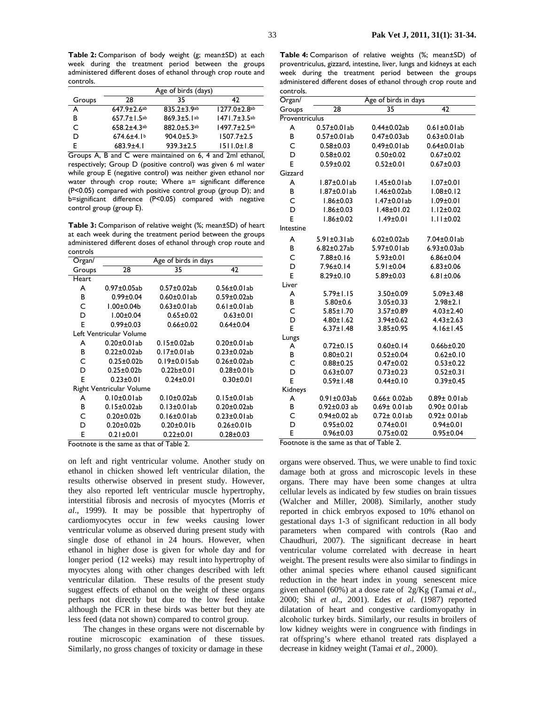**Table 2:** Comparison of body weight (g; mean±SD) at each week during the treatment period between the groups administered different doses of ethanol through crop route and controls.

|        | Age of birds (days)           |                    |                                |
|--------|-------------------------------|--------------------|--------------------------------|
| Groups | 28                            | 35                 | 47                             |
| А      | $647.9 \pm 2.6$ ab            | $835.2 \pm 3.9$ ab | $1277.0 \pm 2.8$ ab            |
| В      | $657.7 \pm 1.5$ <sup>ab</sup> | $869.3 \pm 5.1$ ab | $1471.7 \pm 3.5$ <sup>ab</sup> |
| C      | $658.2 + 4.3$ <sup>ab</sup>   | $882.0 \pm 5.3$ ab | $1497.7 \pm 2.5$ ab            |
| D      | $674.6 \pm 4.1$               | $904.0 \pm 5.3$    | $1507.7 \pm 2.5$               |
|        | $683.9 + 4.1$                 | $939.3 \pm 2.5$    | $1511.0 \pm 1.8$               |

Groups A, B and C were maintained on 6, 4 and 2ml ethanol, respectively; Group D (positive control) was given 6 ml water while group E (negative control) was neither given ethanol nor water through crop route; Where a= significant difference (P<0.05) compared with positive control group (group D); and b=significant difference (P<0.05) compared with negative control group (group E).

**Table 3:** Comparison of relative weight (%; mean±SD) of heart at each week during the treatment period between the groups administered different doses of ethanol through crop route and controls

| Organ/                   | Age of birds in days    |                    |                    |
|--------------------------|-------------------------|--------------------|--------------------|
| Groups                   | 28                      | 35                 | 42                 |
| Heart                    |                         |                    |                    |
| A                        | $0.97 \pm 0.05$ ab      | $0.57 \pm 0.02$ ab | $0.56 \pm 0.01$ ab |
| в                        | $0.99 \pm 0.04$         | $0.60 \pm 0.01$ ab | $0.59 \pm 0.02$ ab |
| C                        | $1.00 \pm 0.04$         | $0.63 \pm 0.01$ ab | $0.61 \pm 0.01$ ab |
| D                        | $1.00 \pm 0.04$         | $0.65 \pm 0.02$    | $0.63 \pm 0.01$    |
| E                        | $0.99 \pm 0.03$         | $0.66 \pm 0.02$    | $0.64 \pm 0.04$    |
|                          | Left Ventricular Volume |                    |                    |
| A                        | $0.20 \pm 0.01$ ab      | $0.15 \pm 0.02$ ab | $0.20 \pm 0.01$ ab |
| в                        | $0.22 \pm 0.02$ ab      | $0.17 \pm 0.01$ ab | $0.23 \pm 0.02$ ab |
| C                        | $0.25 \pm 0.02 b$       | $0.19\pm0.015$ ab  | $0.26 \pm 0.02$ ab |
| D                        | $0.25 \pm 0.02 b$       | $0.22b + 0.01$     | $0.28 \pm 0.01 b$  |
| E                        | $0.23 \pm 0.01$         | $0.24 \pm 0.01$    | $0.30 + 0.01$      |
| Right Ventricular Volume |                         |                    |                    |
| A                        | $0.10 \pm 0.01$ ab      | $0.10 \pm 0.02$ ab | $0.15 \pm 0.01$ ab |
| в                        | $0.15 \pm 0.02$ ab      | $0.13 \pm 0.01$ ab | $0.20 \pm 0.02$ ab |
| C                        | $0.20 \pm 0.02 b$       | $0.16 \pm 0.01$ ab | $0.23 \pm 0.01$ ab |
| D                        | $0.20 \pm 0.02 b$       | $0.20 \pm 0.01 b$  | $0.26 \pm 0.01 b$  |
| E                        | $0.21 \pm 0.01$         | $0.22 \pm 0.01$    | $0.28 \pm 0.03$    |

Footnote is the same as that of Table 2.

on left and right ventricular volume. Another study on ethanol in chicken showed left ventricular dilation, the results otherwise observed in present study. However, they also reported left ventricular muscle hypertrophy, interstitial fibrosis and necrosis of myocytes (Morris *et al*., 1999). It may be possible that hypertrophy of cardiomyocytes occur in few weeks causing lower ventricular volume as observed during present study with single dose of ethanol in 24 hours. However, when ethanol in higher dose is given for whole day and for longer period (12 weeks) may result into hypertrophy of myocytes along with other changes described with left ventricular dilation. These results of the present study suggest effects of ethanol on the weight of these organs perhaps not directly but due to the low feed intake although the FCR in these birds was better but they ate less feed (data not shown) compared to control group.

The changes in these organs were not discernable by routine microscopic examination of these tissues. Similarly, no gross changes of toxicity or damage in these

**Table 4:** Comparison of relative weights (%; mean±SD) of proventriculus, gizzard, intestine, liver, lungs and kidneys at each week during the treatment period between the groups administered different doses of ethanol through crop route and controls.

| Organ/         | Age of birds in days |                    |                    |
|----------------|----------------------|--------------------|--------------------|
| Groups         | 28                   | 35                 | 42                 |
| Proventriculus |                      |                    |                    |
| A              | $0.57\pm0.01ab$      | $0.44 \pm 0.02$ ab | $0.61 \pm 0.01$ ab |
| B              | $0.57\pm0.01ab$      | $0.47 + 0.03$ ab   | $0.63 \pm 0.01$ ab |
| Ċ              | $0.58 + 0.03$        | $0.49\pm0.01ab$    | $0.64\pm0.01ab$    |
| D              | $0.58 + 0.02$        | $0.50 + 0.02$      | $0.67 + 0.02$      |
| E              | $0.59 + 0.02$        | $0.52 \pm 0.01$    | $0.67 + 0.03$      |
| Gizzard        |                      |                    |                    |
| A              | 1.87±0.01ab          | 1.45±0.01ab        | $1.07 + 0.01$      |
| B              | $1.87 \pm 0.01$ ab   | 1.46±0.02ab        | $1.08 \pm 0.12$    |
| C              | $1.86 \pm 0.03$      | $1.47\pm0.01ab$    | $1.09 \pm 0.01$    |
| D              | $1.86 \pm 0.03$      | $1.48 \pm 01.02$   | $1.12 \pm 0.02$    |
| E              | $1.86 \pm 0.02$      | $1.49 \pm 0.01$    | $1.11 \pm 0.02$    |
| Intestine      |                      |                    |                    |
| A              | $5.91 \pm 0.31$ ab   | $6.02 \pm 0.02ab$  | 7.04±0.01ab        |
| B              | $6.82 \pm 0.27$ ab   | 5.97±0.01ab        | $6.93 \pm 0.03$ ab |
| Ċ              | $7.88 \pm 0.16$      | $5.93 \pm 0.01$    | $6.86 \pm 0.04$    |
| D              | 7.96±0.14            | $5.91 \pm 0.04$    | $6.83 \pm 0.06$    |
| E              | $8.29 \pm 0.10$      | $5.89 \pm 0.03$    | $6.81 \pm 0.06$    |
| Liver          |                      |                    |                    |
| A              | $5.79 \pm 1.15$      | $3.50 \pm 0.09$    | $5.09 \pm 3.48$    |
| B              | $5.80 + 0.6$         | $3.05 \pm 0.33$    | $2.98 + 2.1$       |
| C              | $5.85 \pm 1.70$      | $3.57 \pm 0.89$    | $4.03 \pm 2.40$    |
| D              | $4.80 \pm 1.62$      | 3.94±0.62          | $4.43 \pm 2.63$    |
| E              | $6.37 \pm 1.48$      | $3.85 \pm 0.95$    | $4.16 \pm 1.45$    |
| Lungs          |                      |                    |                    |
| A              | $0.72 \pm 0.15$      | $0.60 \pm 0.14$    | $0.66b + 0.20$     |
| B              | $0.80 + 0.21$        | $0.52 \pm 0.04$    | $0.62 \pm 0.10$    |
| Ċ              | $0.88 + 0.25$        | $0.47 \pm 0.02$    | $0.53 + 0.22$      |
| D              | $0.63 \pm 0.07$      | $0.73 \pm 0.23$    | $0.52 \pm 0.31$    |
| E              | $0.59 \pm 1.48$      | $0.44 \pm 0.10$    | $0.39 \pm 0.45$    |
| Kidneys        |                      |                    |                    |
| A              | $0.91 \pm 0.03$ ab   | $0.66 \pm 0.02$ ab | $0.89 \pm 0.01$ ab |
| B              | $0.92 \pm 0.03$ ab   | $0.69 \pm 0.01$ ab | $0.90 \pm 0.01$ ab |
| C              | $0.94 \pm 0.02$ ab   | $0.72 \pm 0.01$ ab | $0.92 \pm 0.01$ ab |
| D              | $0.95 \pm 0.02$      | $0.74 \pm 0.01$    | $0.94 \pm 0.01$    |
| E              | $0.96 \pm 0.03$      | $0.75 \pm 0.02$    | $0.95 \pm 0.04$    |

Footnote is the same as that of Table 2.

organs were observed. Thus, we were unable to find toxic damage both at gross and microscopic levels in these organs. There may have been some changes at ultra cellular levels as indicated by few studies on brain tissues (Walcher and Miller, 2008). Similarly, another study reported in chick embryos exposed to 10% ethanol on gestational days 1-3 of significant reduction in all body parameters when compared with controls (Rao and Chaudhuri, 2007). The significant decrease in heart ventricular volume correlated with decrease in heart weight. The present results were also similar to findings in other animal species where ethanol caused significant reduction in the heart index in young senescent mice given ethanol (60%) at a dose rate of 2g/Kg (Tamai *et al*., 2000; Shi *et al*., 2001). Edes *et al*. (1987) reported dilatation of heart and congestive cardiomyopathy in alcoholic turkey birds. Similarly, our results in broilers of low kidney weights were in congruence with findings in rat offspring's where ethanol treated rats displayed a decrease in kidney weight (Tamai *et al*., 2000).